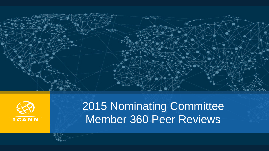



# 2015 Nominating Committee Member 360 Peer Reviews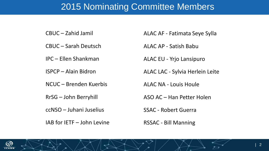# 2015 Nominating Committee Members

CBUC – Zahid Jamil

CBUC – Sarah Deutsch

IPC – Ellen Shankman

ISPCP – Alain Bidron

NCUC – Brenden Kuerbis

RrSG – John Berryhill

ccNSO – Juhani Juselius

IAB for IETF – John Levine

ALAC AF - Fatimata Seye Sylla

ALAC AP - Satish Babu

ALAC EU - Yrjo Lansipuro

ALAC LAC - Sylvia Herlein Leite

ALAC NA - Louis Houle

ASO AC – Han Petter Holen

SSAC - Robert Guerra

RSSAC - Bill Manning

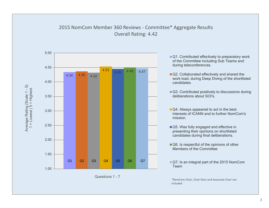

#### 3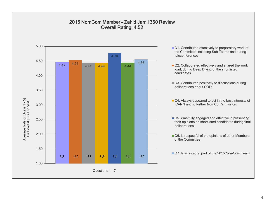#### 2015 NomCom Member - Zahid Jamil 360 Review Overall Rating: 4.52

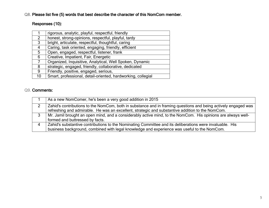# Responses (10):

|                | rigorous, analytic, playful, respectful, friendly            |
|----------------|--------------------------------------------------------------|
| 2              | honest, strong-opinions, respectful, playful, tardy          |
| 3              | bright, articulate, respectful, thoughtful, caring           |
| 4              | Caring, task oriented, engaging, friendly, efficient         |
| 5              | Open, engaged, respectful, listener, frank                   |
| 6              | Creative, Impatient, Fair, Energetic                         |
| $\overline{7}$ | Organized, Inquisitive, Analytical, Well Spoken, Dynamic     |
| 8              | strategic, engaged, friendly, collaborative, dedicated       |
| 9              | Friendly, positive, engaged, serious,                        |
| 10             | Smart, professional, detail-oriented, hardworking, collegial |

|   | As a new NomComer, he's been a very good addition in 2015                                                      |
|---|----------------------------------------------------------------------------------------------------------------|
| າ | Zahid's contributions to the NomCom, both in substance and in framing questions and being actively engaged was |
|   | refreshing and admirable. He was an excellent, strategic and substantive addition to the NomCom.               |
| 3 | Mr. Jamil brought an open mind, and a considerably active mind, to the NomCom. His opinions are always well-   |
|   | formed and buttressed by facts.                                                                                |
|   | Zahid's substantive contributions to the Nominating Committee and its deliberations were invaluable. His       |
|   | business background, combined with legal knowledge and experience was useful to the NomCom.                    |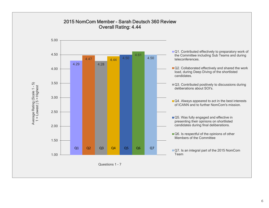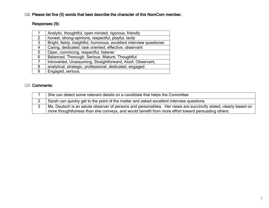# Responses (9):

| Analytic, thoughtful, open minded, rigorous, friendly                |
|----------------------------------------------------------------------|
| honest, strong-opinions, respectful, playful, tardy                  |
| Bright, feisty, insightful, humorous, excellent interview questioner |
| Caring, dedicated, task oriented, effective, observant               |
| Open, convincing, respectful, listener                               |
| Balanced, Thorough, Serious, Mature, Thoughtful                      |
| Introverted, Unassuming, Straightforward, Aloof, Observant,          |
| analytical, strategic, professional, dedicated, engaged              |
| Engaged, serious,                                                    |
|                                                                      |

| She can detect some relevant details on a candidate that helps the Committee                                                                                                                                            |
|-------------------------------------------------------------------------------------------------------------------------------------------------------------------------------------------------------------------------|
| Sarah can quickly get to the point of the matter and asked excellent interview questions.                                                                                                                               |
| Ms. Deutsch is an astute observer of persons and personalities. Her views are succinctly stated, clearly based on<br>more thoughtfulness than she conveys, and would benefit from more effort toward persuading others. |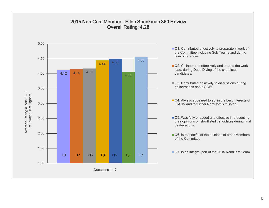#### 2015 NomCom Member - Ellen Shankman 360 Review Overall Rating: 4.28

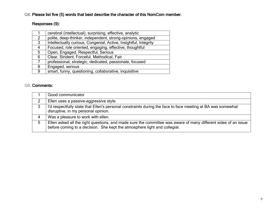# Responses (9):

|   | cerebral (intellectual), surprising, effective, analytic         |
|---|------------------------------------------------------------------|
| 2 | polite, deep-thinker, independent, strong-opinions, engaged      |
| 3 | Intellectually curious, Congenial, Active, Insightful, Integrity |
| 4 | Focused, role oriented, engaging, effective, thoughtful          |
| 5 | Open, Engaged, Respectful, Serious                               |
| 6 | Clear, Strident, Forceful, Methodical, Fair                      |
|   | professional, strategic, dedicated, passionate, focused          |
| 8 | Engaged, serious                                                 |
| 9 | smart, funny, questioning, collaborative, inquisitive            |

|                | Good communicator                                                                                                                                                                           |
|----------------|---------------------------------------------------------------------------------------------------------------------------------------------------------------------------------------------|
|                | Ellen uses a passive-aggressive style.                                                                                                                                                      |
| 3              | I'd respectfully state that Ellen's personal constraints during the face to face meeting at BA was somewhat<br>disruptive, in my personal opinion.                                          |
| $\overline{4}$ | Was a pleasure to work with ellen.                                                                                                                                                          |
| 5              | Ellen asked all the right questions, and made sure the committee was aware of many different sides of an issue<br>before coming to a decision. She kept the atmosphere light and collegial. |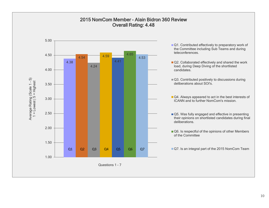#### 2015 NomCom Member - Alain Bidron 360 Review Overall Rating: 4.48

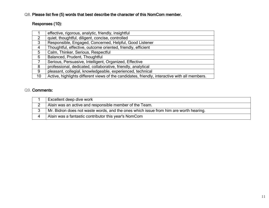# Responses (10):

|    | effective, rigorous, analytic, friendly, insightful                                           |
|----|-----------------------------------------------------------------------------------------------|
| 2  | quiet, thoughtful, diligent, concise, controlled                                              |
| 3  | Responsible, Engaged, Concerned, Helpful, Good Listener                                       |
| 4  | Thoughtful, effective, outcome oriented, friendly, efficient                                  |
| 5  | Calm, Thinker, Serious, Respectful                                                            |
| 6  | Balanced, Prudent, Thoughtful                                                                 |
|    | Serious, Persuasive, Intelligent, Organized, Effective                                        |
| 8  | professional, dedicated, collaborative, friendly, analytical                                  |
| 9  | pleasant, collegial, knowledgeable, experienced, technical                                    |
| 10 | Active, highlights different views of the candidates, friendly, interactive with all members. |

| Excellent deep dive work                                                              |
|---------------------------------------------------------------------------------------|
| Alain was an active and responsible member of the Team.                               |
| Mr. Bidron does not waste words, and the ones which issue from him are worth hearing. |
| Alain was a fantastic contributor this year's NomCom                                  |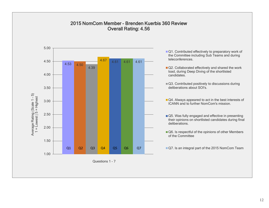#### 2015 NomCom Member - Brenden Kuerbis 360 Review Overall Rating: 4.56

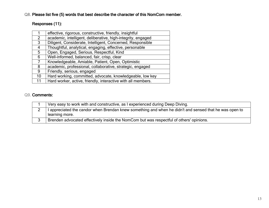# Responses (11):

|    | effective, rigorous, constructive, friendly, insightful      |
|----|--------------------------------------------------------------|
| 2  | academic, intelligent, deliberative, high-integrity, engaged |
| 3  | Diligent, Considerate, Intelligent, Concerned, Responsible   |
| 4  | Thoughtful, analytical, engaging, effective, personable      |
| 5  | Open, Engaged, Serious, Respectful, Kind                     |
| 6  | Well-informed, balanced, fair, crisp, clear                  |
|    | Knowledgeable, Amiable, Patient, Open, Optimistic            |
| 8  | academic, professional, collaborative, strategic, engaged    |
| 9  | Friendly, serious, engaged                                   |
| 10 | Hard working, committed, advocate, knowledgeable, low key    |
| 11 | Hard worker, active, friendly, interactive with all members. |

| Very easy to work with and constructive, as I experienced during Deep Diving.                                            |
|--------------------------------------------------------------------------------------------------------------------------|
| I appreciated the candor when Brendan knew something and when he didn't and sensed that he was open to<br>learning more. |
| Brenden advocated effectively inside the NomCom but was respectful of others' opinions.                                  |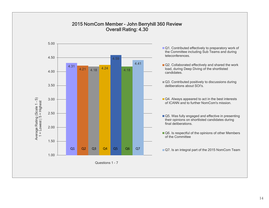#### 2015 NomCom Member - John Berryhill 360 Review Overall Rating: 4.30

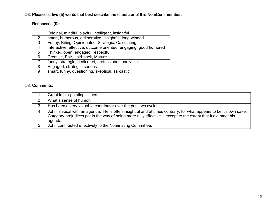# Responses (9):

|                | Original, mindful, playful, intelligent, insightful              |
|----------------|------------------------------------------------------------------|
| $\overline{2}$ | smart, humorous, deliberative, insightful, long-winded           |
| 3              | Funny, Biting, Opinionated, Strategic, Calculating               |
| 4              | Interactive, effective, outcome oriented, engaging, good humored |
| 5              | Thinker, open, engaged, respectful                               |
| 6              | Creative, Fair, Laid-back, Mature                                |
|                | funny, strategic, dedicated, professional, analytical            |
| 8              | Engaged, strategic, serious                                      |
| 9              | smart, funny, questioning, skeptical, sarcastic                  |

|   | Great in pin-pointing issues                                                                                                                                                                                                                  |
|---|-----------------------------------------------------------------------------------------------------------------------------------------------------------------------------------------------------------------------------------------------|
|   | What a sense of humor.                                                                                                                                                                                                                        |
|   | Has been a very valuable contributor over the past two cycles.                                                                                                                                                                                |
| 4 | John is vocal with an agenda. He is often insightful and at times contrary, for what appears to be it's own sake.<br>Category prejudices got in the way of being more fully effective -- except to the extent that it did meet his<br>agenda. |
|   | John contributed effectively to the Nominating Committee.                                                                                                                                                                                     |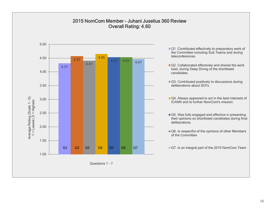#### 2015 NomCom Member - Juhani Juselius 360 Review Overall Rating: 4.60

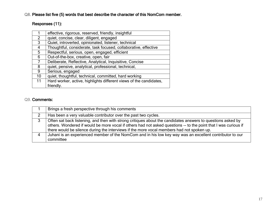# Responses (11):

|                | effective, rigorous, reserved, friendly, insightful                |
|----------------|--------------------------------------------------------------------|
| $\overline{2}$ | quiet, concise, clear, diligent, engaged                           |
| 3              | Quiet, introverted, opinionated, listener, technical               |
| 4              | Thoughtful, considerate, task focused, collaborative, effective    |
| 5              | Respectful, serious, open, engaged, efficient                      |
| 6              | Out-of-the-box, creative, open, fair                               |
| 7              | Deliberate, Reflective, Analytical, Inquisitive, Concise           |
| 8              | quiet, pensive, analytical, professional, technical,               |
| 9              | Serious, engaged                                                   |
| 10             | quiet, thoughtful, technical, committed, hard working              |
| 11             | Hard worker, active, highlights different views of the candidates, |
|                | friendly.                                                          |

| Brings a fresh perspective through his comments                                                                                                                                                                                                                                                                             |
|-----------------------------------------------------------------------------------------------------------------------------------------------------------------------------------------------------------------------------------------------------------------------------------------------------------------------------|
| Has been a very valuable contributor over the past two cycles.                                                                                                                                                                                                                                                              |
| Often sat back listening, and then with strong critiques about the candidates answers to questions asked by<br>others. Wondered if would be more vocal if others had not asked questions -- to the point that I was curious if<br>there would be silence during the interviews if the more vocal members had not spoken up. |
| Juhani is an experienced member of the NomCom and in his low key way was an excellent contributor to our<br>committee                                                                                                                                                                                                       |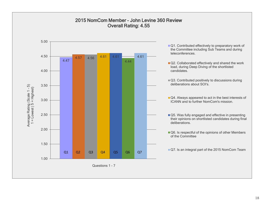#### 2015 NomCom Member - John Levine 360 Review Overall Rating: 4.55

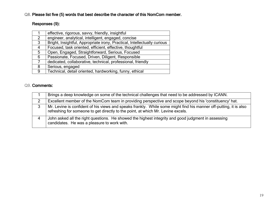# Responses (9):

|   | effective, rigorous, savvy, friendly, insightful                         |
|---|--------------------------------------------------------------------------|
| 2 | engineer, analytical, intelligent, engaged, concise                      |
| 3 | Bright, Insightful, Appropriate irony, Practical, Intellectually curious |
| 4 | Focused, task oriented, efficient, effective, thoughtful                 |
| 5 | Open, Engaged, Straightforward, Serious, Focused                         |
| 6 | Passionate, Focused, Driven, Diligent, Responsible                       |
|   | dedicated, collaborative, technical, professional, friendly              |
| 8 | Serious, engaged                                                         |
| 9 | Technical, detail oriented, hardworking, funny, ethical                  |

|   | Brings a deep knowledge on some of the technical challenges that need to be addressed by ICANN.                                                                                                       |
|---|-------------------------------------------------------------------------------------------------------------------------------------------------------------------------------------------------------|
|   | Excellent member of the NomCom team in providing perspective and scope beyond his 'constituency' hat.                                                                                                 |
| 3 | Mr. Levine is confident of his views and speaks frankly. While some might find his manner off-putting, it is also<br>refreshing for someone to get directly to the point, at which Mr. Levine excels. |
|   | John asked all the right questions. He showed the highest integrity and good judgment in assessing<br>candidates. He was a pleasure to work with.                                                     |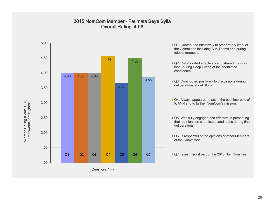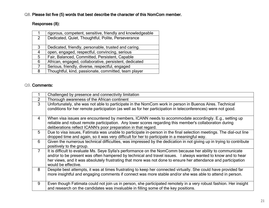# Responses (8):

|   | rigorous, competent, sensitive, friendly and knowledgeable |
|---|------------------------------------------------------------|
| 2 | Dedicated, Quiet, Thoughtful, Polite, Perseverance         |
|   |                                                            |
| 3 | Dedicated, friendly, personable, trusted and caring.       |
| 4 | open, engaged, respectful, convincing, serious             |
| 5 | Fair, Balanced, Committed, Persistent, Capable             |
| 6 | African, engaged, collaborative, persistent, dedicated     |
|   | Serious, friendly, diverse, respectful, engaged            |
| 8 | Thoughtful, kind, passionate, committed, team player       |

|                | Challenged by presence and connectivity limitation                                                                                                                                                                                                                                                                                                                 |
|----------------|--------------------------------------------------------------------------------------------------------------------------------------------------------------------------------------------------------------------------------------------------------------------------------------------------------------------------------------------------------------------|
| $\overline{2}$ | Thorough awareness of the African continent                                                                                                                                                                                                                                                                                                                        |
| 3              | Unfortunately, she was not able to participate in the NomCom work in person in Buenos Aires. Technical<br>conditions for her remote participation (as well as for her participation in teleconferences) were not good.                                                                                                                                             |
| $\overline{4}$ | When visa issues are encountered by members, ICANN needs to accommodate accordingly. E.g., setting up<br>reliable and robust remote participation. Any lower scores regarding this member's collaboration during<br>deliberations reflect ICANN's poor preparation in that regard.                                                                                 |
| 5              | Due to visa issues, Fatimata was unable to participate in-person in the final selection meetings. The dial-out line<br>dropped time and again, so it was very difficult for her to participate in a meaningful way.                                                                                                                                                |
| 6              | Given the numerous technical difficulties, was impressed by the dedication in not giving up in trying to contribute<br>positively to the group.                                                                                                                                                                                                                    |
| $\overline{7}$ | It is difficult to evaluate Ms. Seye Sylla's performance on the NomComm because her ability to communicate<br>and/or to be present was often hampered by technical and travel issues. I always wanted to know and to hear<br>her views, and it was absolutely frustrating that more was not done to ensure her attendance and participation<br>would be effective. |
| 8              | Despite best attempts, it was at times frustrating to keep her connected virtually. She could have provided far<br>more insightful and engaging comments if connect was more stable and/or she was able to attend in person.                                                                                                                                       |
| 9              | Even though Fatimata could not join us in person, she participated remotely in a very robust fashion. Her insight<br>and research on the candidates was invaluable in filling some of the key positions.                                                                                                                                                           |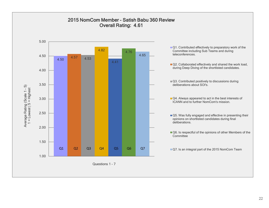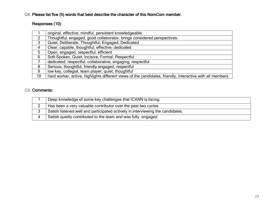# Responses (10):

|                    | original, effective, mindful, persistent knowledgeable                                                    |
|--------------------|-----------------------------------------------------------------------------------------------------------|
| $\overline{2}$     | Thoughtful, engaged, good collaborator, brings considered perspectives.                                   |
| 3                  | Quiet, Deliberate, Thoughtful, Engaged, Dedicated                                                         |
| $\mathbf{\Lambda}$ | Clear, capable, thoughtful, effective, dedicated                                                          |
| 5                  | Open, engaged, respectful, efficient                                                                      |
| 6                  | Soft-Spoken, Quiet, Incisive, Formal, Respectful                                                          |
|                    | dedicated, respectful, collaborative, engaging, respectful                                                |
| 8                  | Serious, thoughtful, friendly engaged, respectful                                                         |
| 9                  | low key, collegial, team player, quiet, thoughtful                                                        |
| 10                 | hard worker, active, highlights different views of the candidates, friendly, interactive with all members |

| Deep knowledge of some key challenges that ICANN is facing.                    |
|--------------------------------------------------------------------------------|
| Has been a very valuable contributor over the past two cycles.                 |
| Satish listened well and participated actively in interviewing the candidates. |
| Satish quietly contributed to the team and was fully engaged                   |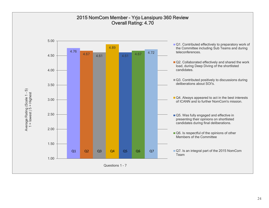### 2015 NomCom Member - Yrjo Lansipuro 360 Review Overall Rating: 4.70

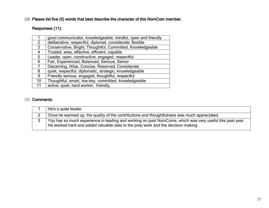# Responses (11):

|    | good communicator, knowledgeable, mindful, open and friendly |
|----|--------------------------------------------------------------|
| 2  | deliberative, respectful, diplomat, considerate, flexible    |
| 3  | Conservative, Bright, Thoughtful, Committed, Knowledgeable   |
| 4  | Trusted, wise, effective, efficient, capable                 |
| 5  | Leader, open, constructive, engaged, respectful              |
| 6  | Fair, Experienced, Balanced, Serious, Senior                 |
|    | Discerning, Wise, Concise, Reserved, Considerate             |
| 8  | quiet, respectful, diplomatic, strategic, knowledgeable      |
| 9  | Friendly serious, engaged, thoughtful, respectful            |
| 10 | Thoughtful, smart, low-key, committed, knowledgeable         |
| 11 | active, quiet, hard worker, friendly,                        |

| He's a quiet leader.                                                                                                                                                                          |
|-----------------------------------------------------------------------------------------------------------------------------------------------------------------------------------------------|
| Once he warmed up, the quality of the contributions and thoughtfulness was much appreciated.                                                                                                  |
| Yrio has so much experience in leading and working on past NomComs, which was very useful this past year.<br>He worked hard and added valuable data to the prep work and the decision making. |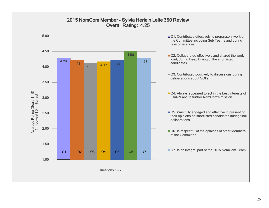

# 2015 NomCom Member - Sylvia Herlein Leite 360 Review Overall Rating: 4.25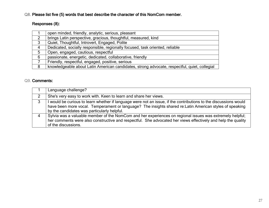# Responses (8):

|                | open minded, friendly, analytic, serious, pleasant                                           |
|----------------|----------------------------------------------------------------------------------------------|
| $\overline{2}$ | brings Latin perspective, gracious, thoughtful, measured, kind                               |
| 3              | Quiet, Thoughtful, Introvert, Engaged, Polite                                                |
| 4              | Dedicated, socially responsible, regionally focused, task oriented, reliable                 |
| 5              | Open, engaged, cautious, respectful                                                          |
| 6              | passionate, energetic, dedicated, collaborative, friendly                                    |
|                | Friendly, respectful, engaged, positive, serious                                             |
| 8              | knowledgeable about Latin American candidates, strong advocate, respectful, quiet, collegial |

|   | Language challenge?                                                                                                                                                                                                                                                       |
|---|---------------------------------------------------------------------------------------------------------------------------------------------------------------------------------------------------------------------------------------------------------------------------|
| 2 | She's very easy to work with. Keen to learn and share her views.                                                                                                                                                                                                          |
| 3 | would be curious to learn whether if language were not an issue, if the contributions to the discussions would<br>have been more vocal. Temperament or language? The insights shared re: Latin American styles of speaking<br>by the candidates was particularly helpful. |
|   | Sylvia was a valuable member of the NomCom and her experiences on regional issues was extremely helpful;<br>her comments were also constructive and respectful. She advocated her views effectively and help the quality<br>of the discussions.                           |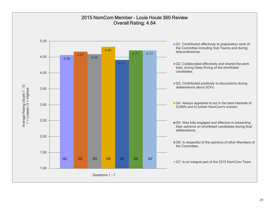#### 2015 NomCom Member - Louis Houle 360 Review Overall Rating: 4.64

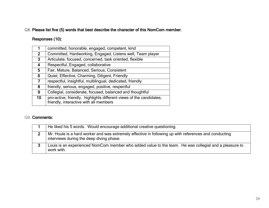# Responses (10):

|              | committed, honorable, engaged, competent, kind                                                                |
|--------------|---------------------------------------------------------------------------------------------------------------|
| $\mathbf{2}$ | Committed, Hardworking, Engaged, Listens well, Team player                                                    |
| $\mathbf{3}$ | Articulate, focused, concerned, task oriented, flexible                                                       |
| 4            | Respectful, Engaged, collaborative                                                                            |
| 5            | Fair, Mature, Balanced, Serious, Consistent                                                                   |
| 6            | Quiet, Effective, Charming, Diligent, Friendly                                                                |
| 7            | respectful, insightful, multilingual, dedicated, friendly                                                     |
| 8            | friendly, serious, engaged, positive, respectful                                                              |
| 9            | Collegial, considerate, focused, balanced and thoughtful                                                      |
| 10           | pro-active, friendly, highlights different views of the candidates.<br>friendly, interactive with all members |
|              |                                                                                                               |

| He liked his 5 words. Would encourage additional creative questioning.                                                                            |
|---------------------------------------------------------------------------------------------------------------------------------------------------|
| Mr. Houle is a hard worker and was extremely effective in following up with references and conducting<br>interviews during the deep diving phase. |
| Louis is an experienced NomCom member who added value to the team. He was collegial and a pleasure to<br>work with.                               |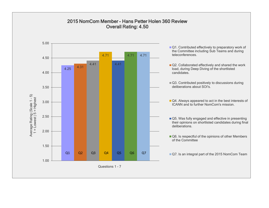#### 2015 NomCom Member - Hans Petter Holen 360 Review Overall Rating: 4.50

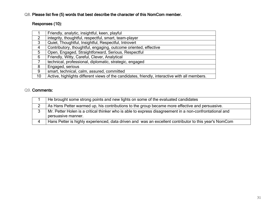# Responses (10):

|                 | Friendly, analytic, insightful, keen, playful                                                 |
|-----------------|-----------------------------------------------------------------------------------------------|
| $\overline{2}$  | integrity, thoughtful, respectful, smart, team-player                                         |
| 3               | Quiet, Thoughtful, Insightful, Respectful, Introvert                                          |
| 4               | Contributory, thoughtful, engaging, outcome oriented, effective                               |
| $5\overline{)}$ | Open, Engaged, Straightforward, Serious, Respectful                                           |
| 6               | Friendly, Witty, Careful, Clever, Analytical                                                  |
| $\overline{7}$  | technical, professional, diplomatic, strategic, engaged                                       |
| 8               | Engaged, serious                                                                              |
| 9               | smart, technical, calm, assured, committed                                                    |
| 10              | Active, highlights different views of the candidates, friendly, interactive with all members. |
|                 |                                                                                               |

| He brought some strong points and new lights on some of the evaluated candidates                                              |
|-------------------------------------------------------------------------------------------------------------------------------|
| As Hans Petter warmed up, his contributions to the group became more effective and persuasive.                                |
| Mr. Petter Holen is a critical thinker who is able to express disagreement in a non-confrontational and<br>persuasive manner. |
| Hans Petter is highly experienced, data driven and was an excellent contributor to this year's NomCom                         |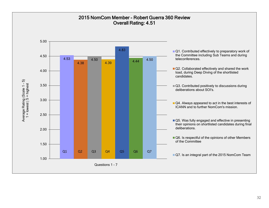#### 2015 NomCom Member - Robert Guerra 360 Review Overall Rating: 4.51

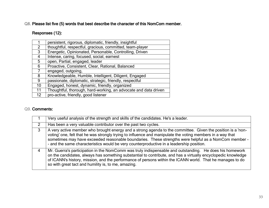# Responses (12):

|    | persistent, rigorous, diplomatic, friendly, insightful          |
|----|-----------------------------------------------------------------|
| 2  | thoughtful, respectful, gracious, committed, team-player        |
| 3  | Energetic, Opinionated, Personable, Controlling, Driven         |
| 4  | Intense, caring, focused, social, earnest                       |
| 5  | open, Partial, engaged, leader                                  |
| 6  | Proactive, Consistent, Clear, Rational, Balanced                |
|    | engaged, outgoing,                                              |
| 8  | Knowledgeable, Humble, Intelligent, Diligent, Engaged           |
| 9  | passionate, diplomatic, strategic, friendly, respectful         |
| 10 | Engaged, honest, dynamic, friendly, organized                   |
| 11 | Thoughtful, thorough, hard-working, an advocate and data driven |
| 12 | pro-active, friendly, good listener                             |
|    |                                                                 |

| Very useful analysis of the strength and skills of the candidates. He's a leader.                                                                                                                                                                                                                                                                                                                                             |
|-------------------------------------------------------------------------------------------------------------------------------------------------------------------------------------------------------------------------------------------------------------------------------------------------------------------------------------------------------------------------------------------------------------------------------|
| Has been a very valuable contributor over the past two cycles.                                                                                                                                                                                                                                                                                                                                                                |
| A very active member who brought energy and a strong agenda to the committee. Given the position is a 'non-<br>voting' one, felt that he was strongly trying to influence and manipulate the voting members in a way that<br>sometimes may have exceeded reasonable boundaries. These strengths were helpful as a NomCom member -<br>- and the same characteristics would be very counterproductive in a leadership position. |
| Mr. Guerra's participation in the NomComm was truly indispensable and outstanding. He does his homework<br>on the candidates, always has something substantial to contribute, and has a virtually encyclopedic knowledge<br>of ICANN's history, mission, and the performance of persons within the ICANN world. That he manages to do<br>so with great tact and humility is, to me, amazing.                                  |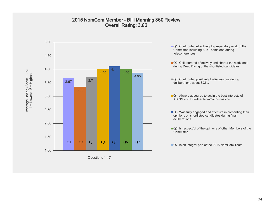

#### 34